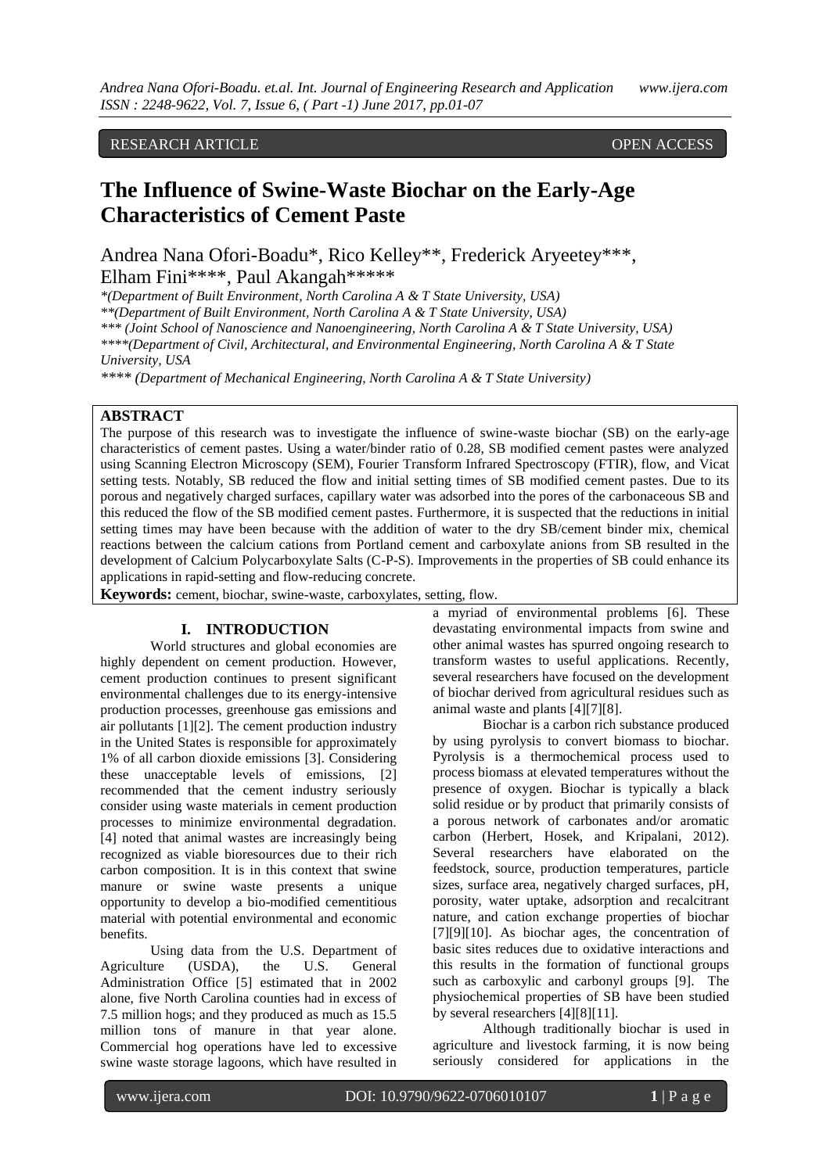# **SPEARCH ARTICLE SPEARCH ARTICLE**

## **The Influence of Swine-Waste Biochar on the Early-Age Characteristics of Cement Paste**

Andrea Nana Ofori-Boadu\*, Rico Kelley\*\*, Frederick Aryeetey\*\*\*,

Elham Fini\*\*\*\*, Paul Akangah\*\*\*\*\*

*\*(Department of Built Environment, North Carolina A & T State University, USA)*

*\*\*(Department of Built Environment, North Carolina A & T State University, USA)*

*\*\*\* (Joint School of Nanoscience and Nanoengineering, North Carolina A & T State University, USA)*

*\*\*\*\*(Department of Civil, Architectural, and Environmental Engineering, North Carolina A & T State University, USA*

*\*\*\*\* (Department of Mechanical Engineering, North Carolina A & T State University)*

#### **ABSTRACT**

The purpose of this research was to investigate the influence of swine-waste biochar (SB) on the early-age characteristics of cement pastes. Using a water/binder ratio of 0.28, SB modified cement pastes were analyzed using Scanning Electron Microscopy (SEM), Fourier Transform Infrared Spectroscopy (FTIR), flow, and Vicat setting tests. Notably, SB reduced the flow and initial setting times of SB modified cement pastes. Due to its porous and negatively charged surfaces, capillary water was adsorbed into the pores of the carbonaceous SB and this reduced the flow of the SB modified cement pastes. Furthermore, it is suspected that the reductions in initial setting times may have been because with the addition of water to the dry SB/cement binder mix, chemical reactions between the calcium cations from Portland cement and carboxylate anions from SB resulted in the development of Calcium Polycarboxylate Salts (C-P-S). Improvements in the properties of SB could enhance its applications in rapid-setting and flow-reducing concrete.

**Keywords:** cement, biochar, swine-waste, carboxylates, setting, flow.

#### **I. INTRODUCTION**

World structures and global economies are highly dependent on cement production. However, cement production continues to present significant environmental challenges due to its energy-intensive production processes, greenhouse gas emissions and air pollutants [1][2]. The cement production industry in the United States is responsible for approximately 1% of all carbon dioxide emissions [3]. Considering these unacceptable levels of emissions, [2] recommended that the cement industry seriously consider using waste materials in cement production processes to minimize environmental degradation. [4] noted that animal wastes are increasingly being recognized as viable bioresources due to their rich carbon composition. It is in this context that swine manure or swine waste presents a unique opportunity to develop a bio-modified cementitious material with potential environmental and economic benefits.

Using data from the U.S. Department of Agriculture (USDA), the U.S. General Administration Office [5] estimated that in 2002 alone, five North Carolina counties had in excess of 7.5 million hogs; and they produced as much as 15.5 million tons of manure in that year alone. Commercial hog operations have led to excessive swine waste storage lagoons, which have resulted in

a myriad of environmental problems [6]. These devastating environmental impacts from swine and other animal wastes has spurred ongoing research to transform wastes to useful applications. Recently, several researchers have focused on the development of biochar derived from agricultural residues such as animal waste and plants [4][7][8].

Biochar is a carbon rich substance produced by using pyrolysis to convert biomass to biochar. Pyrolysis is a thermochemical process used to process biomass at elevated temperatures without the presence of oxygen. Biochar is typically a black solid residue or by product that primarily consists of a porous network of carbonates and/or aromatic carbon (Herbert, Hosek, and Kripalani, 2012). Several researchers have elaborated on the feedstock, source, production temperatures, particle sizes, surface area, negatively charged surfaces, pH, porosity, water uptake, adsorption and recalcitrant nature, and cation exchange properties of biochar  $[7][9][10]$ . As biochar ages, the concentration of basic sites reduces due to oxidative interactions and this results in the formation of functional groups such as carboxylic and carbonyl groups [9]. The physiochemical properties of SB have been studied by several researchers [4][8][11].

Although traditionally biochar is used in agriculture and livestock farming, it is now being seriously considered for applications in the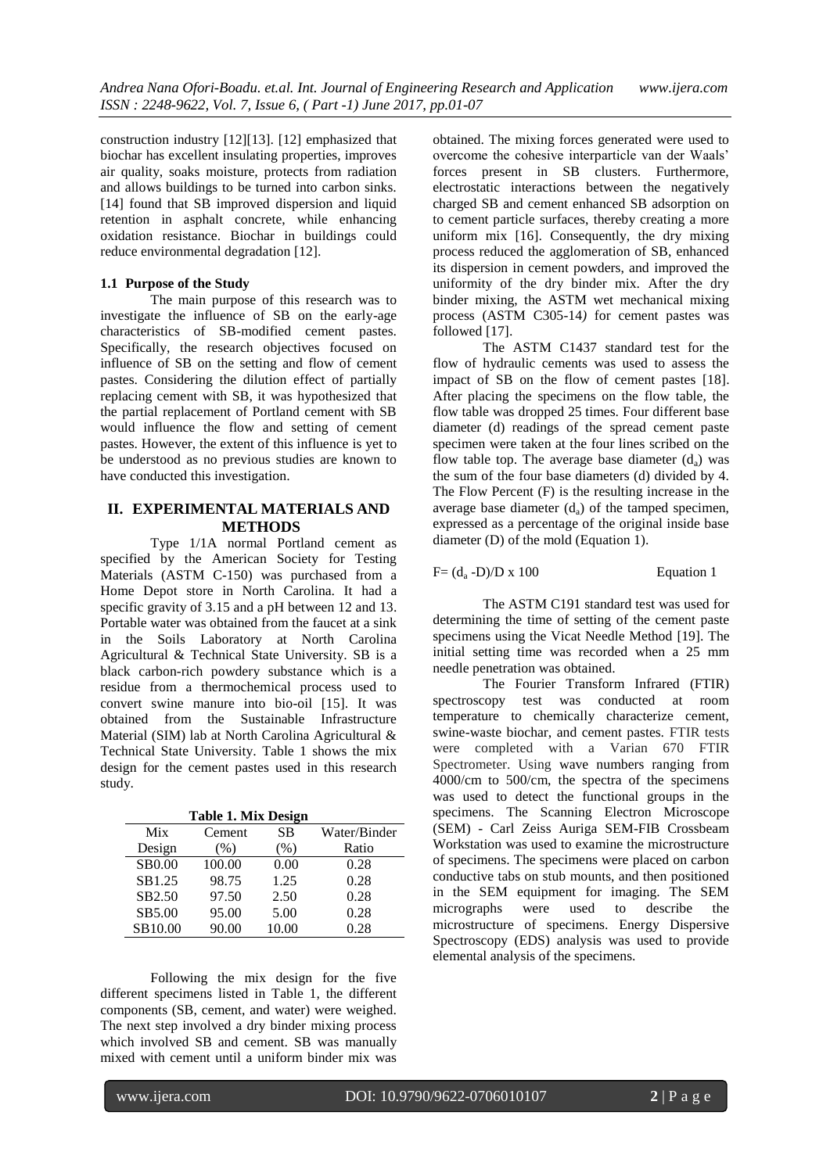construction industry [12][13]. [12] emphasized that biochar has excellent insulating properties, improves air quality, soaks moisture, protects from radiation and allows buildings to be turned into carbon sinks. [14] found that SB improved dispersion and liquid retention in asphalt concrete, while enhancing oxidation resistance. Biochar in buildings could reduce environmental degradation [12].

#### **1.1 Purpose of the Study**

The main purpose of this research was to investigate the influence of SB on the early-age characteristics of SB-modified cement pastes. Specifically, the research objectives focused on influence of SB on the setting and flow of cement pastes. Considering the dilution effect of partially replacing cement with SB, it was hypothesized that the partial replacement of Portland cement with SB would influence the flow and setting of cement pastes. However, the extent of this influence is yet to be understood as no previous studies are known to have conducted this investigation.

#### **II. EXPERIMENTAL MATERIALS AND METHODS**

Type 1/1A normal Portland cement as specified by the American Society for Testing Materials (ASTM C-150) was purchased from a Home Depot store in North Carolina. It had a specific gravity of 3.15 and a pH between 12 and 13. Portable water was obtained from the faucet at a sink in the Soils Laboratory at North Carolina Agricultural & Technical State University. SB is a black carbon-rich powdery substance which is a residue from a thermochemical process used to convert swine manure into bio-oil [15]. It was obtained from the Sustainable Infrastructure Material (SIM) lab at North Carolina Agricultural & Technical State University. Table 1 shows the mix design for the cement pastes used in this research study.

|  |  |  | <b>Table 1. Mix Design</b> |
|--|--|--|----------------------------|
|--|--|--|----------------------------|

| Mix                | Cement | SВ     | Water/Binder |
|--------------------|--------|--------|--------------|
| Design             | $\%$ ) | $\%$ ) | Ratio        |
| <b>SB0.00</b>      | 100.00 | 0.00   | 0.28         |
| SB1.25             | 98.75  | 1.25   | 0.28         |
| SB <sub>2.50</sub> | 97.50  | 2.50   | 0.28         |
| SB5.00             | 95.00  | 5.00   | 0.28         |
| SB10.00            | 90.00  | 10.00  | 0.28         |

Following the mix design for the five different specimens listed in Table 1, the different components (SB, cement, and water) were weighed. The next step involved a dry binder mixing process which involved SB and cement. SB was manually mixed with cement until a uniform binder mix was

obtained. The mixing forces generated were used to overcome the cohesive interparticle van der Waals' forces present in SB clusters. Furthermore, electrostatic interactions between the negatively charged SB and cement enhanced SB adsorption on to cement particle surfaces, thereby creating a more uniform mix [16]. Consequently, the dry mixing process reduced the agglomeration of SB, enhanced its dispersion in cement powders, and improved the uniformity of the dry binder mix. After the dry binder mixing, the ASTM wet mechanical mixing process (ASTM C305-14*)* for cement pastes was followed [17].

The ASTM C1437 standard test for the flow of hydraulic cements was used to assess the impact of SB on the flow of cement pastes [18]. After placing the specimens on the flow table, the flow table was dropped 25 times. Four different base diameter (d) readings of the spread cement paste specimen were taken at the four lines scribed on the flow table top. The average base diameter  $(d_a)$  was the sum of the four base diameters (d) divided by 4. The Flow Percent (F) is the resulting increase in the average base diameter  $(d_a)$  of the tamped specimen, expressed as a percentage of the original inside base diameter (D) of the mold (Equation 1).

$$
F = (d_a - D)/D \times 100
$$
 Equation 1

The ASTM C191 standard test was used for determining the time of setting of the cement paste specimens using the Vicat Needle Method [19]. The initial setting time was recorded when a 25 mm needle penetration was obtained.

The Fourier Transform Infrared (FTIR) spectroscopy test was conducted at room temperature to chemically characterize cement, swine-waste biochar, and cement pastes. FTIR tests were completed with a Varian 670 FTIR Spectrometer. Using wave numbers ranging from 4000/cm to 500/cm, the spectra of the specimens was used to detect the functional groups in the specimens. The Scanning Electron Microscope (SEM) - Carl Zeiss Auriga SEM-FIB Crossbeam Workstation was used to examine the microstructure of specimens. The specimens were placed on carbon conductive tabs on stub mounts, and then positioned in the SEM equipment for imaging. The SEM micrographs were used to describe the microstructure of specimens. Energy Dispersive Spectroscopy (EDS) analysis was used to provide elemental analysis of the specimens.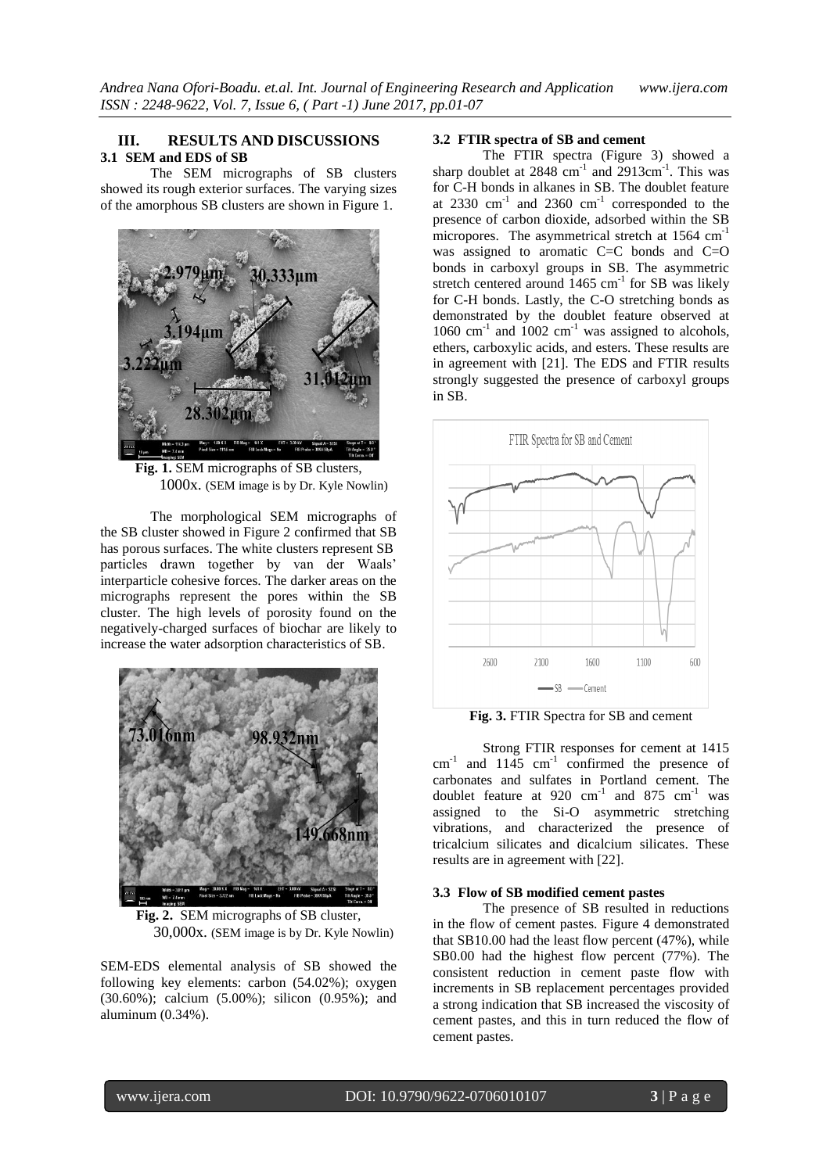### **III. RESULTS AND DISCUSSIONS 3.1 SEM and EDS of SB**

The SEM micrographs of SB clusters showed its rough exterior surfaces. The varying sizes of the amorphous SB clusters are shown in Figure 1.



**Fig. 1.** SEM micrographs of SB clusters, 1000x. (SEM image is by Dr. Kyle Nowlin)

The morphological SEM micrographs of the SB cluster showed in Figure 2 confirmed that SB has porous surfaces. The white clusters represent SB particles drawn together by van der Waals' interparticle cohesive forces. The darker areas on the micrographs represent the pores within the SB cluster. The high levels of porosity found on the negatively-charged surfaces of biochar are likely to increase the water adsorption characteristics of SB.



**Fig. 2.** SEM micrographs of SB cluster, 30,000x. (SEM image is by Dr. Kyle Nowlin)

SEM-EDS elemental analysis of SB showed the following key elements: carbon (54.02%); oxygen (30.60%); calcium (5.00%); silicon (0.95%); and aluminum (0.34%).

#### **3.2 FTIR spectra of SB and cement**

The FTIR spectra (Figure 3) showed a sharp doublet at  $2848 \text{ cm}^{-1}$  and  $2913 \text{ cm}^{-1}$ . This was for C-H bonds in alkanes in SB. The doublet feature at  $2330 \text{ cm}^{-1}$  and  $2360 \text{ cm}^{-1}$  corresponded to the presence of carbon dioxide, adsorbed within the SB micropores. The asymmetrical stretch at 1564 cm<sup>-1</sup> was assigned to aromatic C=C bonds and C=O bonds in carboxyl groups in SB. The asymmetric stretch centered around  $1465 \text{ cm}^{-1}$  for SB was likely for C-H bonds. Lastly, the C-O stretching bonds as demonstrated by the doublet feature observed at  $1060 \text{ cm}^{-1}$  and  $1002 \text{ cm}^{-1}$  was assigned to alcohols, ethers, carboxylic acids, and esters. These results are in agreement with [21]. The EDS and FTIR results strongly suggested the presence of carboxyl groups in SB.



**Fig. 3.** FTIR Spectra for SB and cement

Strong FTIR responses for cement at 1415  $cm<sup>-1</sup>$  and 1145  $cm<sup>-1</sup>$  confirmed the presence of carbonates and sulfates in Portland cement. The doublet feature at 920  $cm^{-1}$  and 875  $cm^{-1}$  was assigned to the Si-O asymmetric stretching vibrations, and characterized the presence of tricalcium silicates and dicalcium silicates. These results are in agreement with [22].

#### **3.3 Flow of SB modified cement pastes**

The presence of SB resulted in reductions in the flow of cement pastes. Figure 4 demonstrated that SB10.00 had the least flow percent (47%), while SB0.00 had the highest flow percent (77%). The consistent reduction in cement paste flow with increments in SB replacement percentages provided a strong indication that SB increased the viscosity of cement pastes, and this in turn reduced the flow of cement pastes.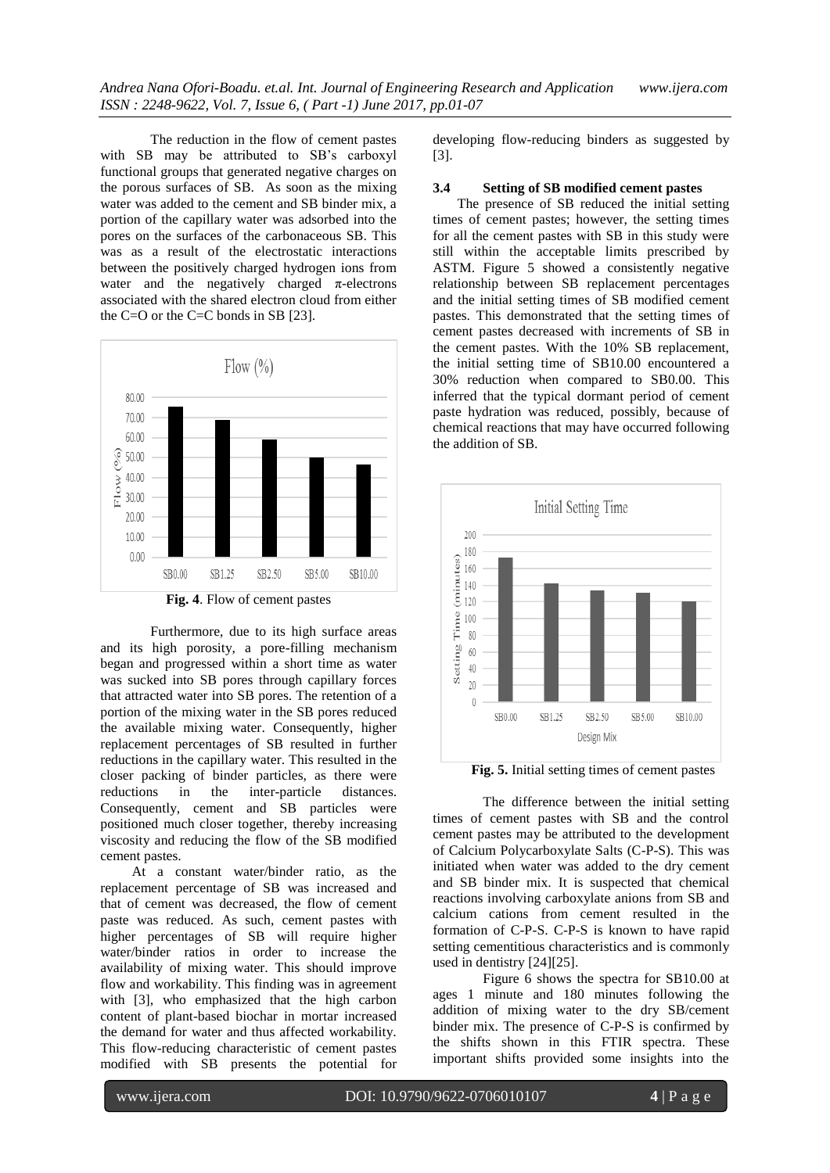The reduction in the flow of cement pastes with SB may be attributed to SB's carboxyl functional groups that generated negative charges on the porous surfaces of SB. As soon as the mixing water was added to the cement and SB binder mix, a portion of the capillary water was adsorbed into the pores on the surfaces of the carbonaceous SB. This was as a result of the electrostatic interactions between the positively charged hydrogen ions from water and the negatively charged  $\pi$ -electrons associated with the shared electron cloud from either the C=O or the C=C bonds in SB [23].



**Fig. 4**. Flow of cement pastes

Furthermore, due to its high surface areas and its high porosity, a pore-filling mechanism began and progressed within a short time as water was sucked into SB pores through capillary forces that attracted water into SB pores. The retention of a portion of the mixing water in the SB pores reduced the available mixing water. Consequently, higher replacement percentages of SB resulted in further reductions in the capillary water. This resulted in the closer packing of binder particles, as there were reductions in the inter-particle distances. Consequently, cement and SB particles were positioned much closer together, thereby increasing viscosity and reducing the flow of the SB modified cement pastes.

 At a constant water/binder ratio, as the replacement percentage of SB was increased and that of cement was decreased, the flow of cement paste was reduced. As such, cement pastes with higher percentages of SB will require higher water/binder ratios in order to increase the availability of mixing water. This should improve flow and workability. This finding was in agreement with [3], who emphasized that the high carbon content of plant-based biochar in mortar increased the demand for water and thus affected workability. This flow-reducing characteristic of cement pastes modified with SB presents the potential for

developing flow-reducing binders as suggested by [3].

#### **3.4 Setting of SB modified cement pastes**

The presence of SB reduced the initial setting times of cement pastes; however, the setting times for all the cement pastes with SB in this study were still within the acceptable limits prescribed by ASTM. Figure 5 showed a consistently negative relationship between SB replacement percentages and the initial setting times of SB modified cement pastes. This demonstrated that the setting times of cement pastes decreased with increments of SB in the cement pastes. With the 10% SB replacement, the initial setting time of SB10.00 encountered a 30% reduction when compared to SB0.00. This inferred that the typical dormant period of cement paste hydration was reduced, possibly, because of chemical reactions that may have occurred following the addition of SB.



 **Fig. 5.** Initial setting times of cement pastes

The difference between the initial setting times of cement pastes with SB and the control cement pastes may be attributed to the development of Calcium Polycarboxylate Salts (C-P-S). This was initiated when water was added to the dry cement and SB binder mix. It is suspected that chemical reactions involving carboxylate anions from SB and calcium cations from cement resulted in the formation of C-P-S. C-P-S is known to have rapid setting cementitious characteristics and is commonly used in dentistry [24][25].

Figure 6 shows the spectra for SB10.00 at ages 1 minute and 180 minutes following the addition of mixing water to the dry SB/cement binder mix. The presence of C-P-S is confirmed by the shifts shown in this FTIR spectra. These important shifts provided some insights into the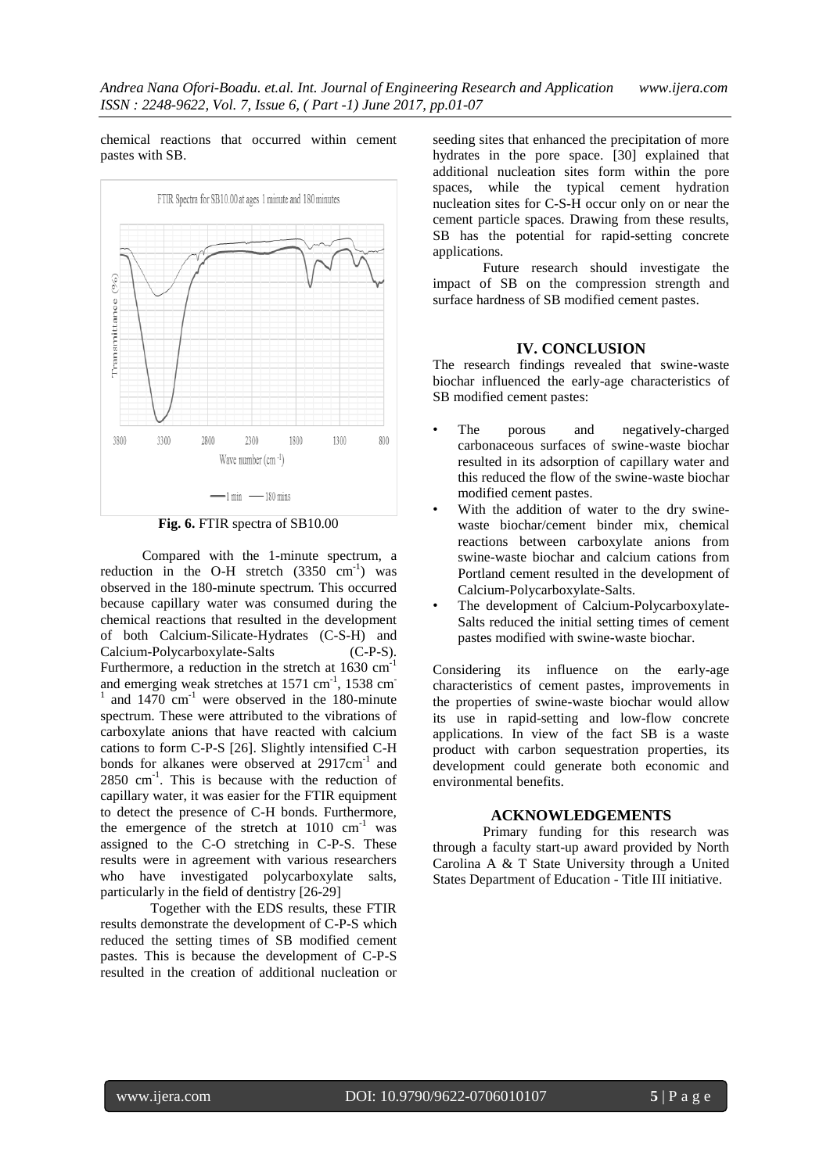chemical reactions that occurred within cement pastes with SB.



**Fig. 6.** FTIR spectra of SB10.00

 Compared with the 1-minute spectrum, a reduction in the O-H stretch  $(3350 \text{ cm}^{-1})$  was observed in the 180-minute spectrum. This occurred because capillary water was consumed during the chemical reactions that resulted in the development of both Calcium-Silicate-Hydrates (C-S-H) and Calcium-Polycarboxylate-Salts (C-P-S). Furthermore, a reduction in the stretch at 1630 cm<sup>-1</sup> and emerging weak stretches at 1571 cm<sup>-1</sup>, 1538 cm<sup>-</sup>  $1$  and 1470 cm<sup>-1</sup> were observed in the 180-minute spectrum. These were attributed to the vibrations of carboxylate anions that have reacted with calcium cations to form C-P-S [26]. Slightly intensified C-H bonds for alkanes were observed at 2917cm<sup>-1</sup> and  $2850 \text{ cm}^{-1}$ . This is because with the reduction of capillary water, it was easier for the FTIR equipment to detect the presence of C-H bonds. Furthermore, the emergence of the stretch at  $1010 \text{ cm}^{-1}$  was assigned to the C-O stretching in C-P-S. These results were in agreement with various researchers who have investigated polycarboxylate salts, particularly in the field of dentistry [26-29]

Together with the EDS results, these FTIR results demonstrate the development of C-P-S which reduced the setting times of SB modified cement pastes. This is because the development of C-P-S resulted in the creation of additional nucleation or

seeding sites that enhanced the precipitation of more hydrates in the pore space. [30] explained that additional nucleation sites form within the pore spaces, while the typical cement hydration nucleation sites for C-S-H occur only on or near the cement particle spaces. Drawing from these results, SB has the potential for rapid-setting concrete applications.

Future research should investigate the impact of SB on the compression strength and surface hardness of SB modified cement pastes.

#### **IV. CONCLUSION**

The research findings revealed that swine-waste biochar influenced the early-age characteristics of SB modified cement pastes:

- The porous and negatively-charged carbonaceous surfaces of swine-waste biochar resulted in its adsorption of capillary water and this reduced the flow of the swine-waste biochar modified cement pastes.
- With the addition of water to the dry swinewaste biochar/cement binder mix, chemical reactions between carboxylate anions from swine-waste biochar and calcium cations from Portland cement resulted in the development of Calcium-Polycarboxylate-Salts.
- The development of Calcium-Polycarboxylate-Salts reduced the initial setting times of cement pastes modified with swine-waste biochar.

Considering its influence on the early-age characteristics of cement pastes, improvements in the properties of swine-waste biochar would allow its use in rapid-setting and low-flow concrete applications. In view of the fact SB is a waste product with carbon sequestration properties, its development could generate both economic and environmental benefits.

#### **ACKNOWLEDGEMENTS**

Primary funding for this research was through a faculty start-up award provided by North Carolina A & T State University through a United States Department of Education - Title III initiative.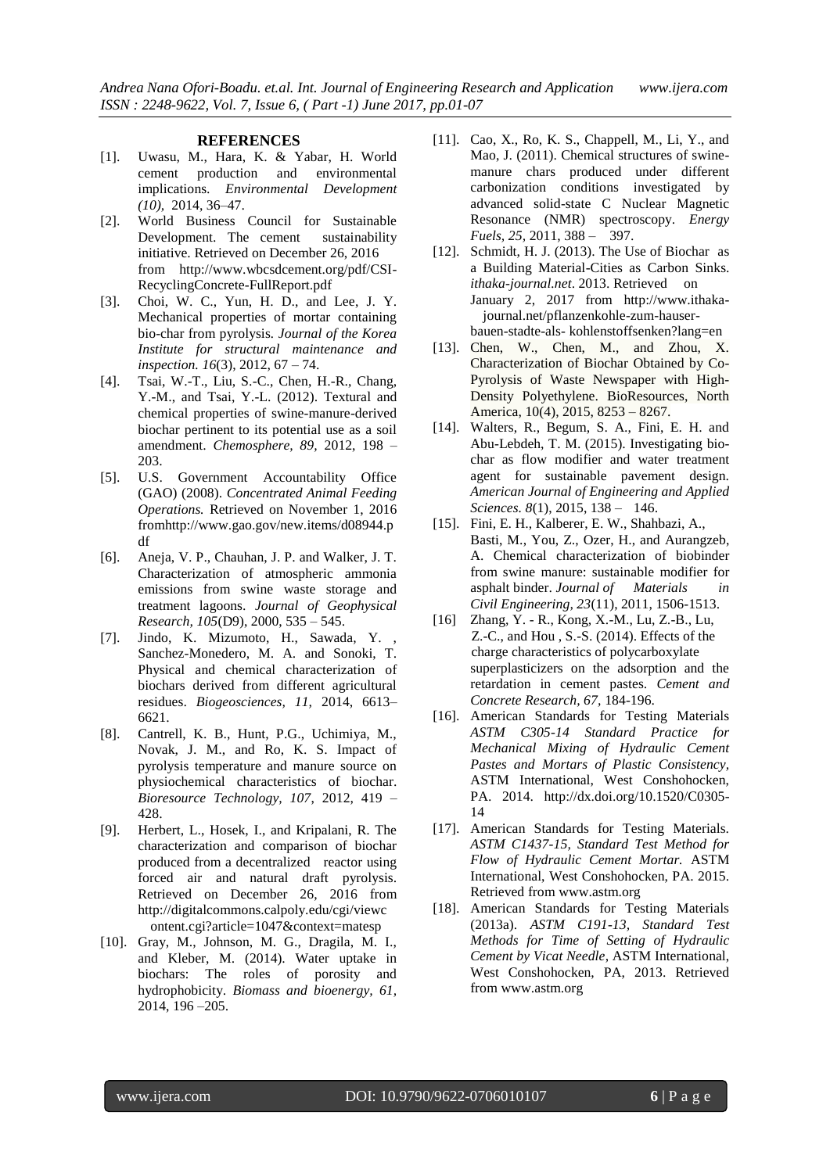#### **REFERENCES**

- [1]. Uwasu, M., Hara, K. & Yabar, H. World cement production and environmental implications. *Environmental Development (10),* 2014, 36–47.
- [2]. World Business Council for Sustainable Development. The cement sustainability initiative. Retrieved on December 26, 2016 from [http://www.wbcsdcement.org/pdf/CSI-](http://www.wbcsdcement.org/pdf/CSI-%20%20%20%20%20RecyclingConcrete-FullReport.pdf)[RecyclingConcrete-FullReport.pdf](http://www.wbcsdcement.org/pdf/CSI-%20%20%20%20%20RecyclingConcrete-FullReport.pdf)
- [3]. Choi, W. C., Yun, H. D., and Lee, J. Y. Mechanical properties of mortar containing bio-char from pyrolysis*. Journal of the Korea Institute for structural maintenance and inspection. 16*(3), 2012, 67 – 74.
- [4]. Tsai, W.-T., Liu, S.-C., Chen, H.-R., Chang, Y.-M., and Tsai, Y.-L. (2012). Textural and chemical properties of swine-manure-derived biochar pertinent to its potential use as a soil amendment. *Chemosphere, 89,* 2012, 198 – 203.
- [5]. U.S. Government Accountability Office (GAO) (2008). *Concentrated Animal Feeding Operations.* Retrieved on November 1, 2016 fro[mhttp://www.gao.gov/new.items/d08944.p](http://www.gao.gov/new.items/d08944.pdf) df
- [6]. Aneja, V. P., Chauhan, J. P. and Walker, J. T. Characterization of atmospheric ammonia emissions from swine waste storage and treatment lagoons. *Journal of Geophysical Research, 105*(D9), 2000, 535 – 545.
- [7]. Jindo, K. Mizumoto, H., Sawada, Y. Sanchez-Monedero, M. A. and Sonoki, T. Physical and chemical characterization of biochars derived from different agricultural residues. *Biogeosciences, 11,* 2014, 6613– 6621.
- [8]. Cantrell, K. B., Hunt, P.G., Uchimiya, M., Novak, J. M., and Ro, K. S. Impact of pyrolysis temperature and manure source on physiochemical characteristics of biochar. *Bioresource Technology, 107*, 2012, 419 – 428.
- [9]. Herbert, L., Hosek, I., and Kripalani, R. The characterization and comparison of biochar produced from a decentralized reactor using forced air and natural draft pyrolysis. Retrieved on December 26, 2016 from [http://digitalcommons.calpoly.edu/cgi/viewc](http://digitalcommons.calpoly.edu/cgi/viewcontent.cgi?article=1047&context=matesp) [ontent.cgi?article=1047&context=matesp](http://digitalcommons.calpoly.edu/cgi/viewcontent.cgi?article=1047&context=matesp)
- [10]. Gray, M., Johnson, M. G., Dragila, M. I., and Kleber, M. (2014). Water uptake in biochars: The roles of porosity and hydrophobicity. *Biomass and bioenergy, 61,* 2014, 196 –205.
- [11]. Cao, X., Ro, K. S., Chappell, M., Li, Y., and Mao, J. (2011). Chemical structures of swinemanure chars produced under different carbonization conditions investigated by advanced solid-state C Nuclear Magnetic Resonance (NMR) spectroscopy. *Energy Fuels, 25,* 2011, 388 – 397.
- [12]. Schmidt, H. J. (2013). The Use of Biochar as a Building Material-Cities as Carbon Sinks. *ithaka-journal.net*. 2013. Retrieved on January 2, 2017 from http://www.ithakajournal.net/pflanzenkohle-zum-hauserbauen-stadte-als- kohlenstoffsenken?lang=en
- [13]. Chen, W., Chen, M., and Zhou, X. Characterization of Biochar Obtained by Co-Pyrolysis of Waste Newspaper with High-Density Polyethylene. BioResources, North America, 10(4), 2015, 8253 – 8267.
- [14]. Walters, R., Begum, S. A., Fini, E. H. and Abu-Lebdeh, T. M. (2015). Investigating biochar as flow modifier and water treatment agent for sustainable pavement design. *American Journal of Engineering and Applied Sciences. 8*(1), 2015, 138 – 146.
- [15]. Fini, E. H., Kalberer, E. W., Shahbazi, A., Basti, M., You, Z., Ozer, H., and Aurangzeb, A. Chemical characterization of biobinder from swine manure: sustainable modifier for asphalt binder. *Journal of Materials in Civil Engineering, 23*(11), 2011, 1506-1513.
- [16] Zhang, Y. R., Kong, X.-M., Lu, Z.-B., Lu, Z.-C., and Hou , S.-S. (2014). Effects of the charge characteristics of polycarboxylate superplasticizers on the adsorption and the retardation in cement pastes. *Cement and Concrete Research, 67,* 184-196.
- [16]. American Standards for Testing Materials *ASTM C305-14 Standard Practice for Mechanical Mixing of Hydraulic Cement Pastes and Mortars of Plastic Consistency,* ASTM International, West Conshohocken, PA. 2014. <http://dx.doi.org/10.1520/C0305-> 14
- [17]. American Standards for Testing Materials. *ASTM C1437-15, Standard Test Method for Flow of Hydraulic Cement Mortar.* ASTM International, West Conshohocken, PA. 2015. Retrieved from [www.astm.org](http://www.astm.org/)
- [18]. American Standards for Testing Materials (2013a). *ASTM C191-13, Standard Test Methods for Time of Setting of Hydraulic Cement by Vicat Needle*, ASTM International, West Conshohocken, PA, 2013. Retrieved fro[m www.astm.org](http://www.astm.org/)